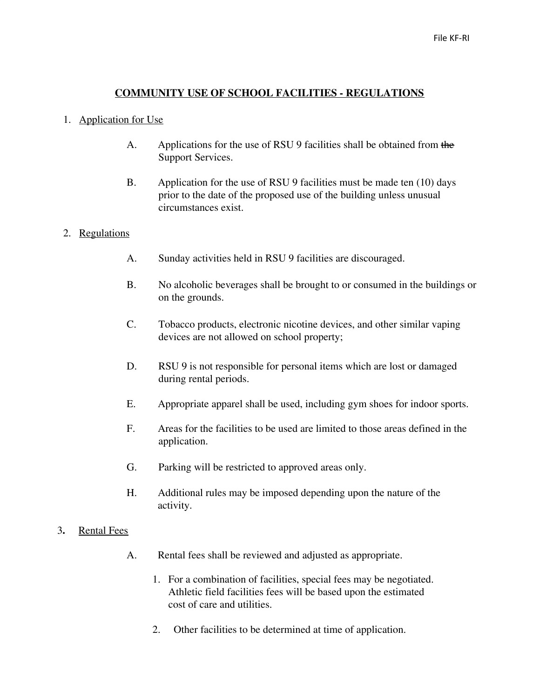### **COMMUNITY USE OF SCHOOL FACILITIES - REGULATIONS**

#### 1. Application for Use

- A. Applications for the use of RSU 9 facilities shall be obtained from the Support Services.
- B. Application for the use of RSU 9 facilities must be made ten (10) days prior to the date of the proposed use of the building unless unusual circumstances exist.

### 2. Regulations

- A. Sunday activities held in RSU 9 facilities are discouraged.
- B. No alcoholic beverages shall be brought to or consumed in the buildings or on the grounds.
- C. Tobacco products, electronic nicotine devices, and other similar vaping devices are not allowed on school property;
- D. RSU 9 is not responsible for personal items which are lost or damaged during rental periods.
- E. Appropriate apparel shall be used, including gym shoes for indoor sports.
- F. Areas for the facilities to be used are limited to those areas defined in the application.
- G. Parking will be restricted to approved areas only.
- H. Additional rules may be imposed depending upon the nature of the activity.
- 3**.** Rental Fees
	- A. Rental fees shall be reviewed and adjusted as appropriate.
		- 1. For a combination of facilities, special fees may be negotiated. Athletic field facilities fees will be based upon the estimated cost of care and utilities.
		- 2. Other facilities to be determined at time of application.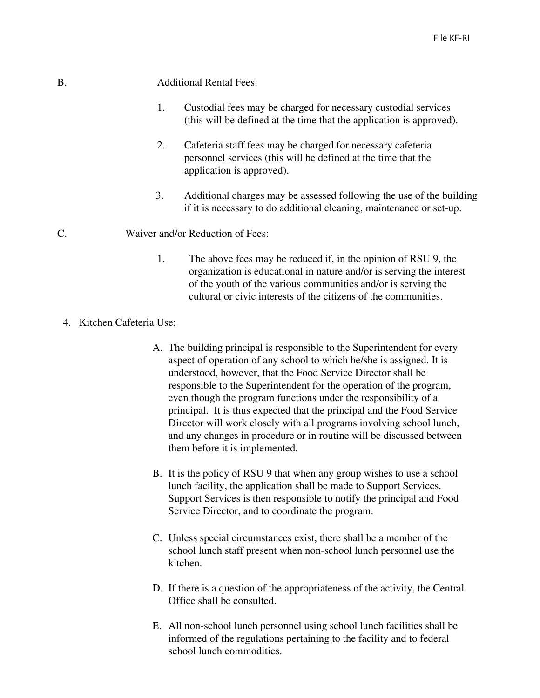# B. Additional Rental Fees:

- 1. Custodial fees may be charged for necessary custodial services (this will be defined at the time that the application is approved).
- 2. Cafeteria staff fees may be charged for necessary cafeteria personnel services (this will be defined at the time that the application is approved).
- 3. Additional charges may be assessed following the use of the building if it is necessary to do additional cleaning, maintenance or set-up.

## C. Waiver and/or Reduction of Fees:

1. The above fees may be reduced if, in the opinion of RSU 9, the organization is educational in nature and/or is serving the interest of the youth of the various communities and/or is serving the cultural or civic interests of the citizens of the communities.

### 4. Kitchen Cafeteria Use:

- A. The building principal is responsible to the Superintendent for every aspect of operation of any school to which he/she is assigned. It is understood, however, that the Food Service Director shall be responsible to the Superintendent for the operation of the program, even though the program functions under the responsibility of a principal. It is thus expected that the principal and the Food Service Director will work closely with all programs involving school lunch, and any changes in procedure or in routine will be discussed between them before it is implemented.
- B. It is the policy of RSU 9 that when any group wishes to use a school lunch facility, the application shall be made to Support Services. Support Services is then responsible to notify the principal and Food Service Director, and to coordinate the program.
- C. Unless special circumstances exist, there shall be a member of the school lunch staff present when non-school lunch personnel use the kitchen.
- D. If there is a question of the appropriateness of the activity, the Central Office shall be consulted.
- E. All non-school lunch personnel using school lunch facilities shall be informed of the regulations pertaining to the facility and to federal school lunch commodities.